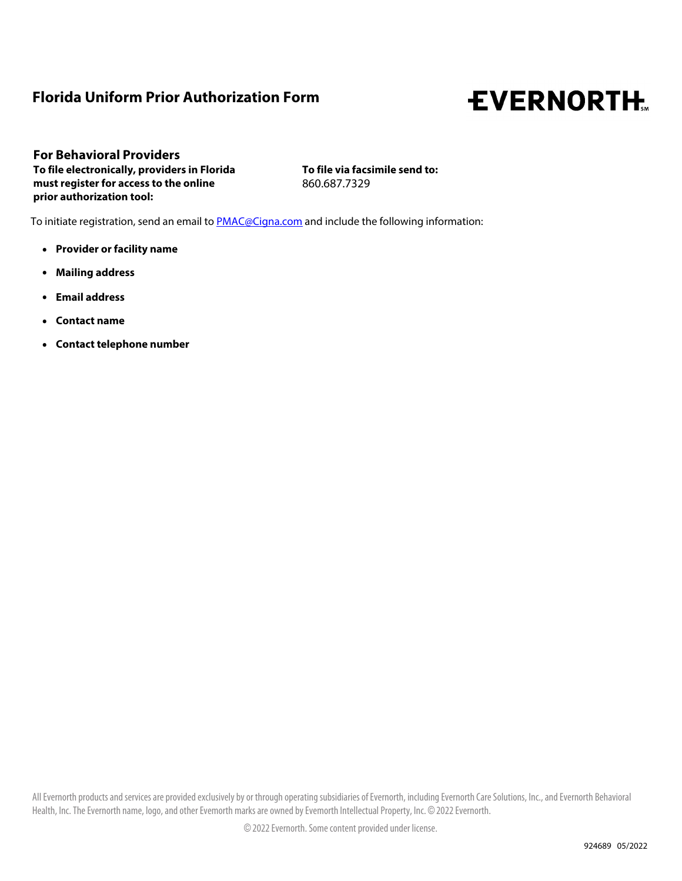# **Florida Uniform Prior Authorization Form**

# **EVERNORTH.**

**For Behavioral Providers To file electronically, providers in Florida must register for access to the online prior authorization tool:**

**To file via facsimile send to:**  860.687.7329

To initiate registration, send an email to **PMAC@Cigna.com** and include the following information:

- **. Provider or facility name**
- **. Mailing address**
- **. Email address**
- **. Contact name**
- **. Contact telephone number**

All Evernorth products and services are provided exclusively by or through operating subsidiaries of Evernorth, including Evernorth Care Solutions, Inc., and Evernorth Behavioral Health, Inc. The Evernorth name, logo, and other Evemorth marks are owned by Evemorth Intellectual Property, Inc. © 2022 Evernorth.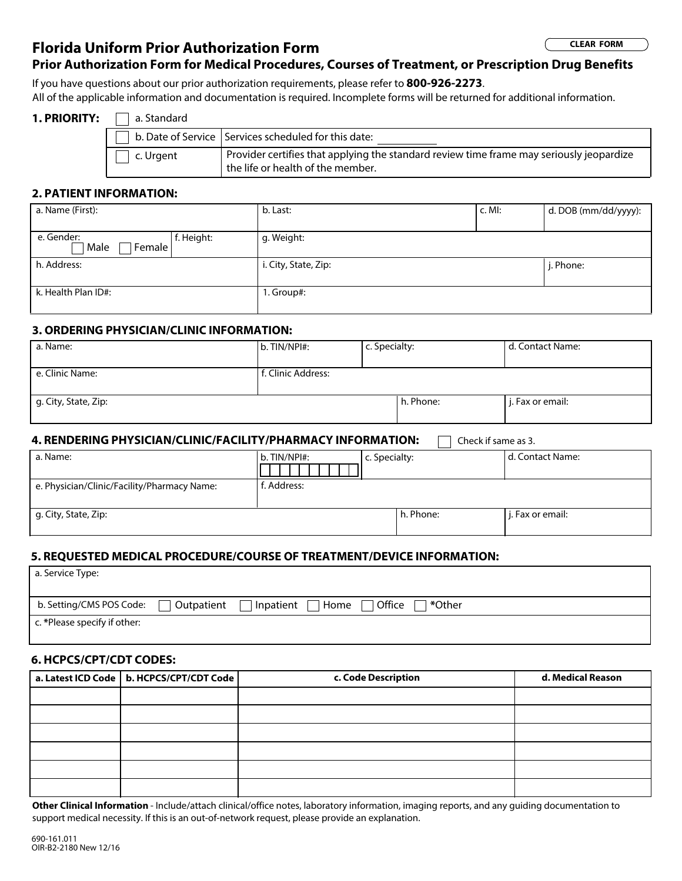## **Florida Uniform Prior Authorization Form**

**CLEAR FORM**

### **Prior Authorization Form for Medical Procedures, Courses of Treatment, or Prescription Drug Benefits**

If you have questions about our prior authorization requirements, please refer to **800-926-2273**.

All of the applicable information and documentation is required. Incomplete forms will be returned for additional information.

#### 1. PRIORITY: **n** a. Standard

|           | b. Date of Service   Services scheduled for this date:                                                                        |
|-----------|-------------------------------------------------------------------------------------------------------------------------------|
| c. Urgent | Provider certifies that applying the standard review time frame may seriously jeopardize<br>the life or health of the member. |

#### **2. PATIENT INFORMATION:**

| a. Name (First):                             | b. Last:             | $c.$ MI: | d. DOB (mm/dd/yyyy): |
|----------------------------------------------|----------------------|----------|----------------------|
|                                              |                      |          |                      |
| e. Gender:<br>f. Height:<br>Male<br>Female l | g. Weight:           |          |                      |
| h. Address:                                  | i. City, State, Zip: |          | j. Phone:            |
| k. Health Plan ID#:                          | 1. Group#:           |          |                      |

#### **3. ORDERING PHYSICIAN/CLINIC INFORMATION:**

| a. Name:             | b. TIN/NPI#:       | c. Specialty: |           | d. Contact Name: |
|----------------------|--------------------|---------------|-----------|------------------|
|                      |                    |               |           |                  |
| e. Clinic Name:      | f. Clinic Address: |               |           |                  |
|                      |                    |               |           |                  |
| g. City, State, Zip: |                    |               | h. Phone: | j. Fax or email: |
|                      |                    |               |           |                  |
|                      |                    |               |           |                  |

#### **4. RENDERING PHYSICIAN/CLINIC/FACILITY/PHARMACY INFORMATION:**  $\Box$  Check if same as 3.

| a. Name:                                    | b. TIN/NPI#: | c. Specialty: |           | d. Contact Name: |
|---------------------------------------------|--------------|---------------|-----------|------------------|
| e. Physician/Clinic/Facility/Pharmacy Name: | f. Address:  |               |           |                  |
| g. City, State, Zip:                        |              |               | h. Phone: | j. Fax or email: |

#### **5. REQUESTED MEDICAL PROCEDURE/COURSE OF TREATMENT/DEVICE INFORMATION:**

| a. Service Type:             |                   |           |      |                      |  |
|------------------------------|-------------------|-----------|------|----------------------|--|
| b. Setting/CMS POS Code: [   | $\Box$ Outpatient | Inpatient | Home | Office  <br>l *Other |  |
| c. *Please specify if other: |                   |           |      |                      |  |

#### **6. HCPCS/CPT/CDT CODES:**

| a. Latest ICD Code   b. HCPCS/CPT/CDT Code | c. Code Description | d. Medical Reason |
|--------------------------------------------|---------------------|-------------------|
|                                            |                     |                   |
|                                            |                     |                   |
|                                            |                     |                   |
|                                            |                     |                   |
|                                            |                     |                   |
|                                            |                     |                   |

**Other Clinical Information** - Include/attach clinical/office notes, laboratory information, imaging reports, and any guiding documentation to support medical necessity. If this is an out-of-network request, please provide an explanation.